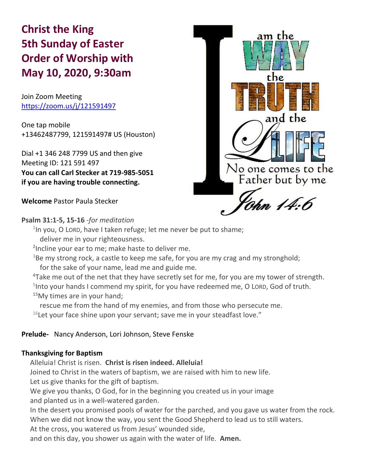# **Christ the King 5th Sunday of Easter Order of Worship with May 10, 2020, 9:30am**

Join Zoom Meeting https://zoom.us/j/121591497

One tap mobile +13462487799, 121591497# US (Houston)

Dial +1 346 248 7799 US and then give Meeting ID: 121 591 497 **You can call Carl Stecker at 719-985-5051 if you are having trouble connecting.**

**Welcome** Pastor Paula Stecker



# **Psalm 31:1-5, 15-16** -*for meditation*

<sup>1</sup>In you, O LORD, have I taken refuge; let me never be put to shame; deliver me in your righteousness.

**2** Incline your ear to me; make haste to deliver me.

 $3B$ e my strong rock, a castle to keep me safe, for you are my crag and my stronghold; for the sake of your name, lead me and guide me.

**<sup>4</sup>**Take me out of the net that they have secretly set for me, for you are my tower of strength.

<sup>5</sup>Into your hands I commend my spirit, for you have redeemed me, O LORD, God of truth. **<sup>15</sup>**My times are in your hand;

rescue me from the hand of my enemies, and from those who persecute me.  $16$ Let your face shine upon your servant; save me in your steadfast love."

# **Prelude-** Nancy Anderson, Lori Johnson, Steve Fenske

# **Thanksgiving for Baptism**

Alleluia! Christ is risen. **Christ is risen indeed. Alleluia!**

Joined to Christ in the waters of baptism, we are raised with him to new life.

Let us give thanks for the gift of baptism.

We give you thanks, O God, for in the beginning you created us in your image and planted us in a well-watered garden.

In the desert you promised pools of water for the parched, and you gave us water from the rock.

When we did not know the way, you sent the Good Shepherd to lead us to still waters.

At the cross, you watered us from Jesus' wounded side,

and on this day, you shower us again with the water of life. **Amen.**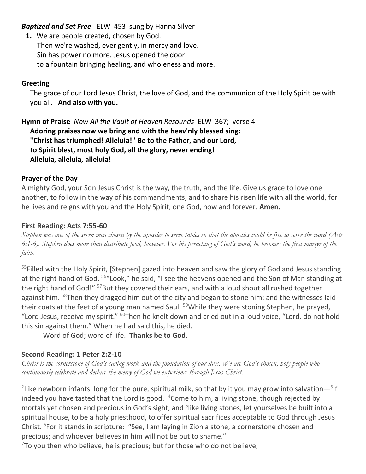*Baptized and Set Free*ELW 453 sung by Hanna Silver

**1.** We are people created, chosen by God. Then we're washed, ever gently, in mercy and love. Sin has power no more. Jesus opened the door to a fountain bringing healing, and wholeness and more.

# **Greeting**

The grace of our Lord Jesus Christ, the love of God, and the communion of the Holy Spirit be with you all. **And also with you.**

**Hymn of Praise** *Now All the Vault of Heaven Resounds* ELW 367; verse 4 **Adoring praises now we bring and with the heav'nly blessed sing: "Christ has triumphed! Alleluia!" Be to the Father, and our Lord, to Spirit blest, most holy God, all the glory, never ending! Alleluia, alleluia, alleluia!**

# **Prayer of the Day**

Almighty God, your Son Jesus Christ is the way, the truth, and the life. Give us grace to love one another, to follow in the way of his commandments, and to share his risen life with all the world, for he lives and reigns with you and the Holy Spirit, one God, now and forever. **Amen.**

# **First Reading: Acts 7:55-60**

*Stephen was one of the seven men chosen by the apostles to serve tables so that the apostles could be free to serve the word (Acts 6:1-6). Stephen does more than distribute food, however. For his preaching of God's word, he becomes the first martyr of the faith.*

<sup>55</sup>Filled with the Holy Spirit, [Stephen] gazed into heaven and saw the glory of God and Jesus standing at the right hand of God. <sup>56</sup>"Look," he said, "I see the heavens opened and the Son of Man standing at the right hand of God!" <sup>57</sup>But they covered their ears, and with a loud shout all rushed together against him. <sup>58</sup>Then they dragged him out of the city and began to stone him; and the witnesses laid their coats at the feet of a young man named Saul. <sup>59</sup>While they were stoning Stephen, he prayed, "Lord Jesus, receive my spirit."  $60$ Then he knelt down and cried out in a loud voice, "Lord, do not hold this sin against them." When he had said this, he died.

Word of God; word of life. **Thanks be to God.**

# **Second Reading: 1 Peter 2:2-10**

*Christ is the cornerstone of God's saving work and the foundation of our lives. We are God's chosen, holy people who continuously celebrate and declare the mercy of God we experience through Jesus Christ.*

<sup>2</sup>Like newborn infants, long for the pure, spiritual milk, so that by it you may grow into salvation—<sup>3</sup>if indeed you have tasted that the Lord is good.  $4\text{Come}$  to him, a living stone, though rejected by mortals yet chosen and precious in God's sight, and <sup>5</sup>like living stones, let yourselves be built into a spiritual house, to be a holy priesthood, to offer spiritual sacrifices acceptable to God through Jesus Christ. <sup>6</sup>For it stands in scripture: "See, I am laying in Zion a stone, a cornerstone chosen and precious; and whoever believes in him will not be put to shame."

 $^{7}$ To you then who believe, he is precious; but for those who do not believe,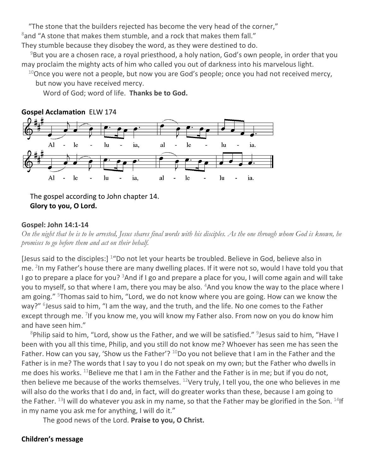"The stone that the builders rejected has become the very head of the corner,"

 $8$ and "A stone that makes them stumble, and a rock that makes them fall."

They stumble because they disobey the word, as they were destined to do.

 $9B$ ut you are a chosen race, a royal priesthood, a holy nation, God's own people, in order that you may proclaim the mighty acts of him who called you out of darkness into his marvelous light.

 $10$ Once you were not a people, but now you are God's people; once you had not received mercy, but now you have received mercy.

Word of God; word of life. **Thanks be to God.**



The gospel according to John chapter 14. **Glory to you, O Lord.**

# **Gospel: John 14:1-14**

*On the night that he is to be arrested, Jesus shares final words with his disciples. As the one through whom God is known, he promises to go before them and act on their behalf.*

[Jesus said to the disciples:] <sup>1</sup>"Do not let your hearts be troubled. Believe in God, believe also in me. <sup>2</sup>In my Father's house there are many dwelling places. If it were not so, would I have told you that I go to prepare a place for you?  $3$ And if I go and prepare a place for you, I will come again and will take you to myself, so that where I am, there you may be also. <sup>4</sup>And you know the way to the place where I am going." <sup>5</sup>Thomas said to him, "Lord, we do not know where you are going. How can we know the way?" <sup>6</sup>Jesus said to him, "I am the way, and the truth, and the life. No one comes to the Father except through me. <sup>7</sup>If you know me, you will know my Father also. From now on you do know him and have seen him."

 $8$ Philip said to him, "Lord, show us the Father, and we will be satisfied."  $9$  Jesus said to him, "Have I been with you all this time, Philip, and you still do not know me? Whoever has seen me has seen the Father. How can you say, 'Show us the Father'?  $^{10}$ Do you not believe that I am in the Father and the Father is in me? The words that I say to you I do not speak on my own; but the Father who dwells in me does his works.  $11$ Believe me that I am in the Father and the Father is in me; but if you do not, then believe me because of the works themselves.  $12$ Very truly, I tell you, the one who believes in me will also do the works that I do and, in fact, will do greater works than these, because I am going to the Father.  $13$ I will do whatever you ask in my name, so that the Father may be glorified in the Son.  $14$ If in my name you ask me for anything, I will do it."

The good news of the Lord. **Praise to you, O Christ.**

# **Children's message**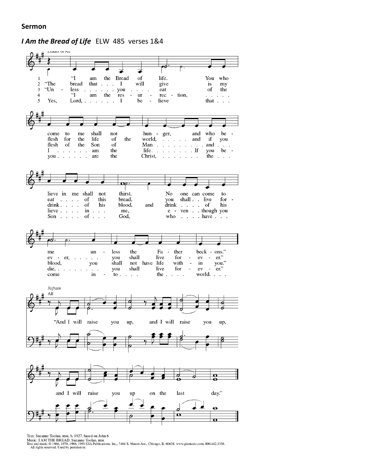#### **Sermon**

*I Am the Bread of Life*ELW 485 verses 1&4



Text: Suzanne Toolan, RSM, b. 1927, based on John 6

Nusic: I AM THE BREAD, Suzanne Toolan, RSM<br>Text and music © 1966, 1970, 1986, 1993 GIA Publications, Inc., 7404 S. Mason Ave., Chicago, IL 60638. www.giamusic.com. 800.442.3358.<br>All rights reserved. Used by permission.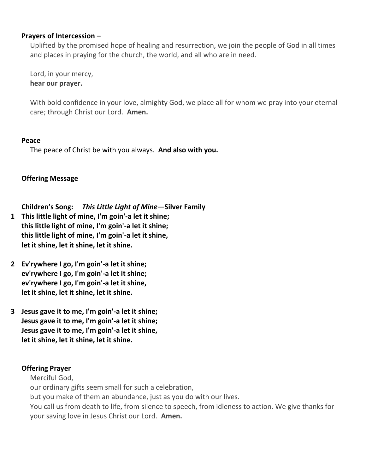# **Prayers of Intercession –**

Uplifted by the promised hope of healing and resurrection, we join the people of God in all times and places in praying for the church, the world, and all who are in need.

Lord, in your mercy, **hear our prayer.**

With bold confidence in your love, almighty God, we place all for whom we pray into your eternal care; through Christ our Lord. **Amen.**

# **Peace**

The peace of Christ be with you always. **And also with you.**

**Offering Message**

**Children's Song:** *This Little Light of Mine—***Silver Family**

- **1 This little light of mine, I'm goin'-a let it shine; this little light of mine, I'm goin'-a let it shine; this little light of mine, I'm goin'-a let it shine, let it shine, let it shine, let it shine.**
- **2 Ev'rywhere I go, I'm goin'-a let it shine; ev'rywhere I go, I'm goin'-a let it shine; ev'rywhere I go, I'm goin'-a let it shine, let it shine, let it shine, let it shine.**
- **3 Jesus gave it to me, I'm goin'-a let it shine; Jesus gave it to me, I'm goin'-a let it shine; Jesus gave it to me, I'm goin'-a let it shine, let it shine, let it shine, let it shine.**

# **Offering Prayer**

Merciful God,

our ordinary gifts seem small for such a celebration,

but you make of them an abundance, just as you do with our lives.

You call us from death to life, from silence to speech, from idleness to action. We give thanks for your saving love in Jesus Christ our Lord. **Amen.**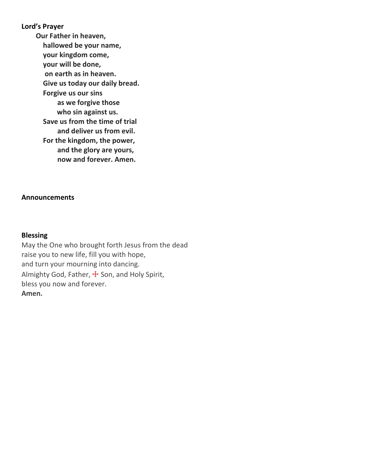# **Lord's Prayer**

**Our Father in heaven, hallowed be your name, your kingdom come, your will be done, on earth as in heaven. Give us today our daily bread. Forgive us our sins as we forgive those who sin against us. Save us from the time of trial and deliver us from evil. For the kingdom, the power, and the glory are yours, now and forever. Amen.**

### **Announcements**

# **Blessing**

May the One who brought forth Jesus from the dead raise you to new life, fill you with hope, and turn your mourning into dancing. Almighty God, Father, + Son, and Holy Spirit, bless you now and forever. **Amen.**